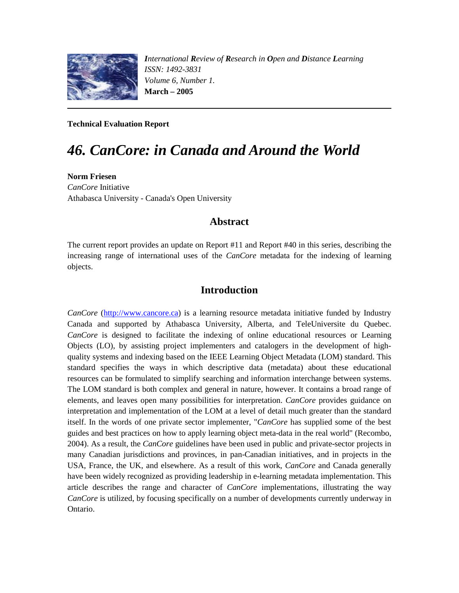

*International Review of Research in Open and Distance Learning ISSN: 1492-3831 Volume 6, Number 1.*  **March – 2005**

**Technical Evaluation Report**

# *46. CanCore: in Canada and Around the World*

**Norm Friesen** *CanCore* Initiative Athabasca University - Canada's Open University

#### **Abstract**

The current report provides an update on Report #11 and Report #40 in this series, describing the increasing range of international uses of the *CanCore* metadata for the indexing of learning objects.

### **Introduction**

*CanCore* [\(http://www.cancore.ca\)](http://www.cancore.ca/) is a learning resource metadata initiative funded by Industry Canada and supported by Athabasca University, Alberta, and TeleUniversite du Quebec. *CanCore* is designed to facilitate the indexing of online educational resources or Learning Objects (LO), by assisting project implementers and catalogers in the development of highquality systems and indexing based on the IEEE Learning Object Metadata (LOM) standard. This standard specifies the ways in which descriptive data (metadata) about these educational resources can be formulated to simplify searching and information interchange between systems. The LOM standard is both complex and general in nature, however. It contains a broad range of elements, and leaves open many possibilities for interpretation. *CanCore* provides guidance on interpretation and implementation of the LOM at a level of detail much greater than the standard itself. In the words of one private sector implementer, "*CanCore* has supplied some of the best guides and best practices on how to apply learning object meta-data in the real world" (Recombo, 2004). As a result, the *CanCore* guidelines have been used in public and private-sector projects in many Canadian jurisdictions and provinces, in pan-Canadian initiatives, and in projects in the USA, France, the UK, and elsewhere. As a result of this work, *CanCore* and Canada generally have been widely recognized as providing leadership in e-learning metadata implementation. This article describes the range and character of *CanCore* implementations, illustrating the way *CanCore* is utilized, by focusing specifically on a number of developments currently underway in Ontario.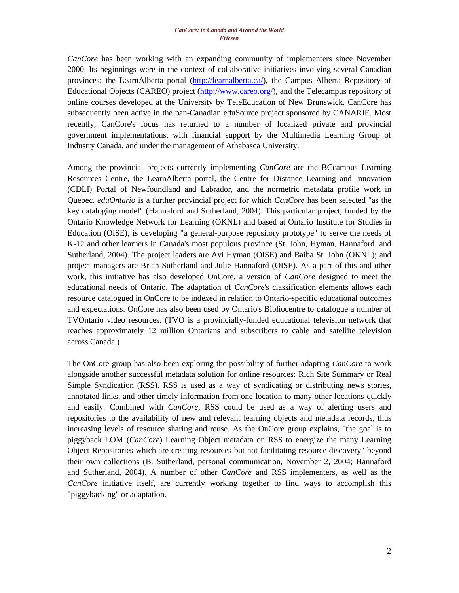*CanCore* has been working with an expanding community of implementers since November 2000. Its beginnings were in the context of collaborative initiatives involving several Canadian provinces: the LearnAlberta portal [\(http://learnalberta.ca/\)](http://learnalberta.ca/), the Campus Alberta Repository of Educational Objects (CAREO) project [\(http://www.careo.org/\)](http://www.careo.org/), and the Telecampus repository of online courses developed at the University by TeleEducation of New Brunswick. CanCore has subsequently been active in the pan-Canadian eduSource project sponsored by CANARIE. Most recently, CanCore's focus has returned to a number of localized private and provincial government implementations, with financial support by the Multimedia Learning Group of Industry Canada, and under the management of Athabasca University.

Among the provincial projects currently implementing *CanCore* are the BCcampus Learning Resources Centre, the LearnAlberta portal, the Centre for Distance Learning and Innovation (CDLI) Portal of Newfoundland and Labrador, and the normetric metadata profile work in Quebec. *eduOntario* is a further provincial project for which *CanCore* has been selected "as the key cataloging model" (Hannaford and Sutherland, 2004). This particular project, funded by the Ontario Knowledge Network for Learning (OKNL) and based at Ontario Institute for Studies in Education (OISE), is developing "a general-purpose repository prototype" to serve the needs of K-12 and other learners in Canada's most populous province (St. John, Hyman, Hannaford, and Sutherland, 2004). The project leaders are Avi Hyman (OISE) and Baiba St. John (OKNL); and project managers are Brian Sutherland and Julie Hannaford (OISE). As a part of this and other work, this initiative has also developed OnCore, a version of *CanCore* designed to meet the educational needs of Ontario. The adaptation of *CanCore*'s classification elements allows each resource catalogued in OnCore to be indexed in relation to Ontario-specific educational outcomes and expectations. OnCore has also been used by Ontario's Bibliocentre to catalogue a number of TVOntario video resources. (TVO is a provincially-funded educational television network that reaches approximately 12 million Ontarians and subscribers to cable and satellite television across Canada.)

The OnCore group has also been exploring the possibility of further adapting *CanCore* to work alongside another successful metadata solution for online resources: Rich Site Summary or Real Simple Syndication (RSS). RSS is used as a way of syndicating or distributing news stories, annotated links, and other timely information from one location to many other locations quickly and easily. Combined with *CanCore*, RSS could be used as a way of alerting users and repositories to the availability of new and relevant learning objects and metadata records, thus increasing levels of resource sharing and reuse. As the OnCore group explains, "the goal is to piggyback LOM (*CanCore*) Learning Object metadata on RSS to energize the many Learning Object Repositories which are creating resources but not facilitating resource discovery" beyond their own collections (B. Sutherland, personal communication, November 2, 2004; Hannaford and Sutherland, 2004). A number of other *CanCore* and RSS implementers, as well as the *CanCore* initiative itself, are currently working together to find ways to accomplish this "piggybacking" or adaptation.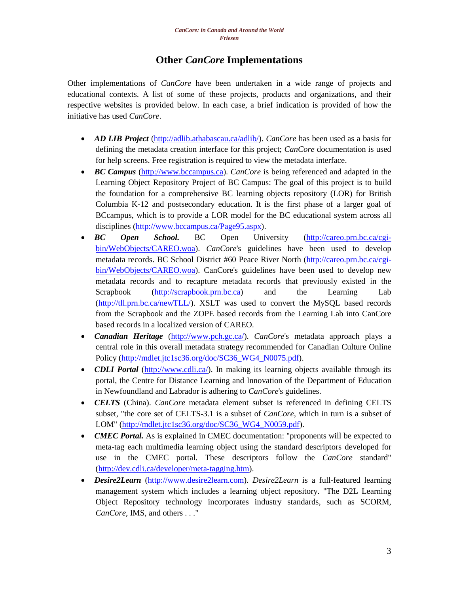## **Other** *CanCore* **Implementations**

Other implementations of *CanCore* have been undertaken in a wide range of projects and educational contexts. A list of some of these projects, products and organizations, and their respective websites is provided below. In each case, a brief indication is provided of how the initiative has used *CanCore*.

- *AD LIB Project* [\(http://adlib.athabascau.ca/adlib/\)](http://adlib.athabascau.ca/adlib/). *CanCore* has been used as a basis for defining the metadata creation interface for this project; *CanCore* documentation is used for help screens. Free registration is required to view the metadata interface.
- *BC Campus* [\(http://www.bccampus.ca\)](http://www.bccampus.ca/). *CanCore* is being referenced and adapted in the Learning Object Repository Project of BC Campus: The goal of this project is to build the foundation for a comprehensive BC learning objects repository (LOR) for British Columbia K-12 and postsecondary education. It is the first phase of a larger goal of BCcampus, which is to provide a LOR model for the BC educational system across all disciplines [\(http://www.bccampus.ca/Page95.aspx\)](http://www.bccampus.ca/Page95.aspx).
- *BC Open School.* BC Open University [\(http://careo.prn.bc.ca/cgi](http://careo.prn.bc.ca/cgi-bin/WebObjects/CAREO.woa)[bin/WebObjects/CAREO.woa\)](http://careo.prn.bc.ca/cgi-bin/WebObjects/CAREO.woa). *CanCore*'s guidelines have been used to develop metadata records. BC School District #60 Peace River North [\(http://careo.prn.bc.ca/cgi](http://careo.prn.bc.ca/cgi-bin/WebObjects/CAREO.woa)[bin/WebObjects/CAREO.woa\)](http://careo.prn.bc.ca/cgi-bin/WebObjects/CAREO.woa). CanCore's guidelines have been used to develop new metadata records and to recapture metadata records that previously existed in the Scrapbook [\(http://scrapbook.prn.bc.ca\)](http://scrapbook.prn.bc.ca/) and the Learning Lab [\(http://tll.prn.bc.ca/newTLL/\)](http://tll.prn.bc.ca/newTLL/). XSLT was used to convert the MySQL based records from the Scrapbook and the ZOPE based records from the Learning Lab into CanCore based records in a localized version of CAREO.
- *Canadian Heritage* [\(http://www.pch.gc.ca/\)](http://www.pch.gc.ca/). *CanCore*'s metadata approach plays a central role in this overall metadata strategy recommended for Canadian Culture Online Policy [\(http://mdlet.jtc1sc36.org/doc/SC36\\_WG4\\_N0075.pdf\)](http://mdlet.jtc1sc36.org/doc/SC36_WG4_N0075.pdf).
- *CDLI Portal* [\(http://www.cdli.ca/\)](http://www.cdli.ca/). In making its learning objects available through its portal, the Centre for Distance Learning and Innovation of the Department of Education in Newfoundland and Labrador is adhering to *CanCore*'s guidelines.
- *CELTS* (China). *CanCore* metadata element subset is referenced in defining CELTS subset, "the core set of CELTS-3.1 is a subset of *CanCore*, which in turn is a subset of LOM" [\(http://mdlet.jtc1sc36.org/doc/SC36\\_WG4\\_N0059.pdf\)](http://mdlet.jtc1sc36.org/doc/SC36_WG4_N0059.pdf).
- *CMEC Portal.* As is explained in CMEC documentation: "proponents will be expected to meta-tag each multimedia learning object using the standard descriptors developed for use in the CMEC portal. These descriptors follow the *CanCore* standard" [\(http://dev.cdli.ca/developer/meta-tagging.htm\)](http://dev.cdli.ca/developer/meta-tagging.htm).
- *Desire2Learn* [\(http://www.desire2learn.com\)](http://www.desire2learn.com/). *Desire2Learn* is a full-featured learning management system which includes a learning object repository. "The D2L Learning Object Repository technology incorporates industry standards, such as SCORM, *CanCore*, IMS, and others . . ."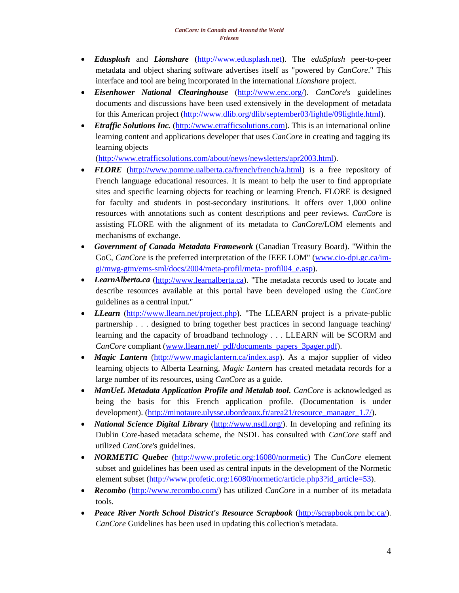- *Edusplash* and *Lionshare* [\(http://www.edusplash.net\)](http://www.edusplash.net/). The *eduSplash* peer-to-peer metadata and object sharing software advertises itself as "powered by *CanCore*." This interface and tool are being incorporated in the international *Lionshare* project.
- *Eisenhower National Clearinghouse* [\(http://www.enc.org/\)](http://www.enc.org/). *CanCore*'s guidelines documents and discussions have been used extensively in the development of metadata for this American project [\(http://www.dlib.org/dlib/september03/lightle/09lightle.html\)](http://www.dlib.org/dlib/september03/lightle/09lightle.html).
- *Etraffic Solutions Inc.* [\(http://www.etrafficsolutions.com\)](http://www.etrafficsolutions.com/). This is an international online learning content and applications developer that uses *CanCore* in creating and tagging its learning objects

[\(http://www.etrafficsolutions.com/about/news/newsletters/apr2003.html\)](http://www.etrafficsolutions.com/about/news/newsletters/apr2003.html).

- *FLORE* [\(http://www.pomme.ualberta.ca/french/french/a.html\)](http://www.pomme.ualberta.ca/french/french/a.html) is a free repository of French language educational resources. It is meant to help the user to find appropriate sites and specific learning objects for teaching or learning French. FLORE is designed for faculty and students in post-secondary institutions. It offers over 1,000 online resources with annotations such as content descriptions and peer reviews. *CanCore* is assisting FLORE with the alignment of its metadata to *CanCore*/LOM elements and mechanisms of exchange.
- *Government of Canada Metadata Framework* (Canadian Treasury Board). "Within the GoC, *CanCore* is the preferred interpretation of the IEEE LOM" [\(www.cio-dpi.gc.ca/im](http://www.cio-dpi.gc.ca/im-gi/mwg-gtm/ems-sml/docs/2004/meta-profil/meta-profil04_e.asp)[gi/mwg-gtm/ems-sml/docs/2004/meta-profil/meta-](http://www.cio-dpi.gc.ca/im-gi/mwg-gtm/ems-sml/docs/2004/meta-profil/meta-profil04_e.asp) profil04\_e.asp).
- *LearnAlberta.ca* [\(http://www.learnalberta.ca\)](http://www.learnalberta.ca/). "The metadata records used to locate and describe resources available at this portal have been developed using the *CanCore* guidelines as a central input."
- *LLearn* [\(http://www.llearn.net/project.php\)](http://www.llearn.net/project.php). "The LLEARN project is a private-public partnership . . . designed to bring together best practices in second language teaching/ learning and the capacity of broadband technology . . . LLEARN will be SCORM and *CanCore* compliant [\(www.llearn.net/\\_pdf/documents\\_papers\\_3pager.pdf\)](http://www.llearn.net/_pdf/documents_papers_3pager.pdf).
- *Magic Lantern* [\(http://www.magiclantern.ca/index.asp\)](http://www.magiclantern.ca/index.asp). As a major supplier of video learning objects to Alberta Learning, *Magic Lantern* has created metadata records for a large number of its resources, using *CanCore* as a guide.
- *ManUeL Metadata Application Profile and Metalab tool. CanCore* is acknowledged as being the basis for this French application profile. (Documentation is under development). [\(http://minotaure.ulysse.ubordeaux.fr/area21/resource\\_manager\\_1.7/\)](http://minotaure.ulysse.u-bordeaux.fr/area21/resource_manager_1.7/).
- *National Science Digital Library* [\(http://www.nsdl.org/\)](http://www.nsdl.org/). In developing and refining its Dublin Core-based metadata scheme, the NSDL has consulted with *CanCore* staff and utilized *CanCore*'s guidelines.
- *NORMETIC Quebec* [\(http://www.profetic.org:16080/normetic\)](http://www.profetic.org:16080/normetic) The *CanCore* element subset and guidelines has been used as central inputs in the development of the Normetic element subset [\(http://www.profetic.org:16080/normetic/article.php3?id\\_article=53\)](http://www.profetic.org:16080/normetic/article.php3?id_article=53).
- *Recombo* [\(http://www.recombo.com/\)](http://www.recombo.com/) has utilized *CanCore* in a number of its metadata tools.
- *Peace River North School District's Resource Scrapbook* [\(http://scrapbook.prn.bc.ca/\)](http://scrapbook.prn.bc.ca/). *CanCore* Guidelines has been used in updating this collection's metadata.